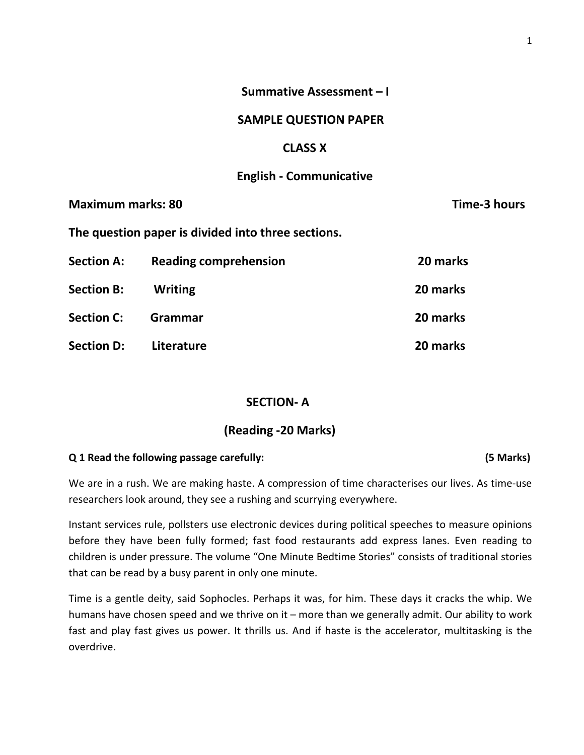# Summative Assessment – I

## SAMPLE QUESTION PAPER

## CLASS X

# English - Communicative

| <b>Maximum marks: 80</b> |                                                    | Time-3 hours |
|--------------------------|----------------------------------------------------|--------------|
|                          | The question paper is divided into three sections. |              |
| <b>Section A:</b>        | <b>Reading comprehension</b>                       | 20 marks     |
| <b>Section B:</b>        | <b>Writing</b>                                     | 20 marks     |
| <b>Section C:</b>        | Grammar                                            | 20 marks     |
| <b>Section D:</b>        | Literature                                         | 20 marks     |

## SECTION- A

# (Reading -20 Marks)

#### Q 1 Read the following passage carefully: (5 Marks)

We are in a rush. We are making haste. A compression of time characterises our lives. As time-use researchers look around, they see a rushing and scurrying everywhere.

Instant services rule, pollsters use electronic devices during political speeches to measure opinions before they have been fully formed; fast food restaurants add express lanes. Even reading to children is under pressure. The volume "One Minute Bedtime Stories" consists of traditional stories that can be read by a busy parent in only one minute.

Time is a gentle deity, said Sophocles. Perhaps it was, for him. These days it cracks the whip. We humans have chosen speed and we thrive on it – more than we generally admit. Our ability to work fast and play fast gives us power. It thrills us. And if haste is the accelerator, multitasking is the overdrive.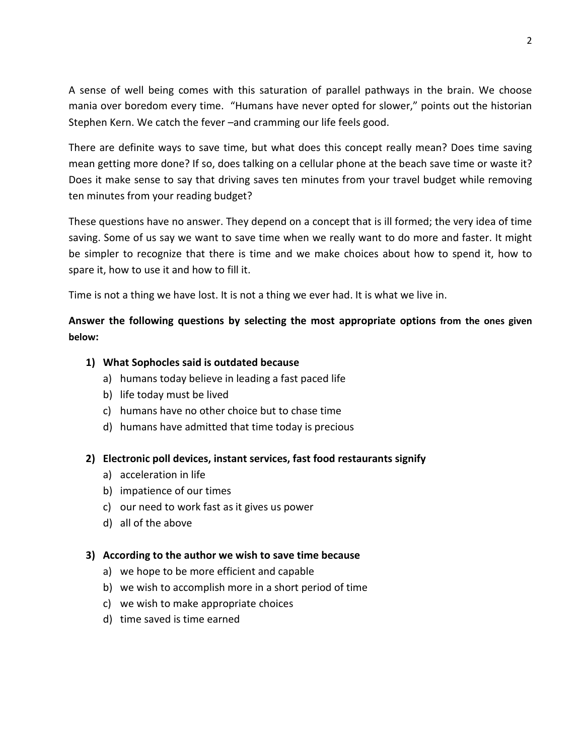A sense of well being comes with this saturation of parallel pathways in the brain. We choose mania over boredom every time. "Humans have never opted for slower," points out the historian Stephen Kern. We catch the fever –and cramming our life feels good.

There are definite ways to save time, but what does this concept really mean? Does time saving mean getting more done? If so, does talking on a cellular phone at the beach save time or waste it? Does it make sense to say that driving saves ten minutes from your travel budget while removing ten minutes from your reading budget?

These questions have no answer. They depend on a concept that is ill formed; the very idea of time saving. Some of us say we want to save time when we really want to do more and faster. It might be simpler to recognize that there is time and we make choices about how to spend it, how to spare it, how to use it and how to fill it.

Time is not a thing we have lost. It is not a thing we ever had. It is what we live in.

# Answer the following questions by selecting the most appropriate options from the ones given below:

## 1) What Sophocles said is outdated because

- a) humans today believe in leading a fast paced life
- b) life today must be lived
- c) humans have no other choice but to chase time
- d) humans have admitted that time today is precious

# 2) Electronic poll devices, instant services, fast food restaurants signify

- a) acceleration in life
- b) impatience of our times
- c) our need to work fast as it gives us power
- d) all of the above

## 3) According to the author we wish to save time because

- a) we hope to be more efficient and capable
- b) we wish to accomplish more in a short period of time
- c) we wish to make appropriate choices
- d) time saved is time earned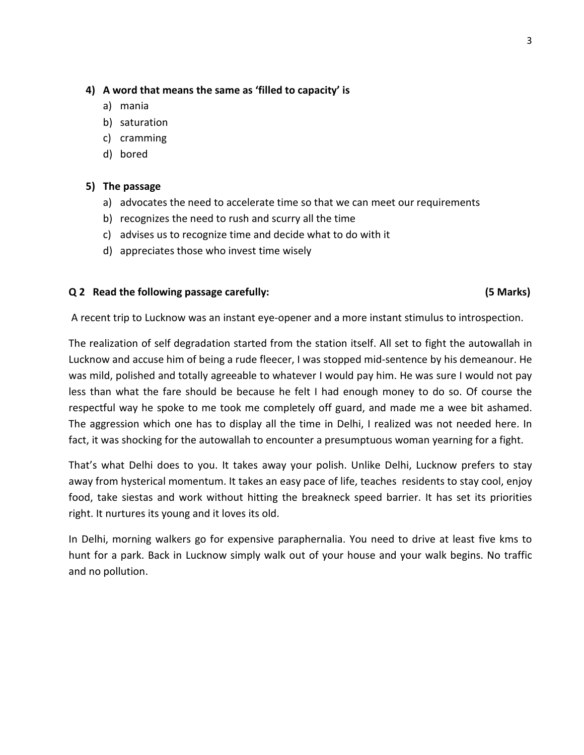## 4) A word that means the same as 'filled to capacity' is

- a) mania
- b) saturation
- c) cramming
- d) bored

## 5) The passage

- a) advocates the need to accelerate time so that we can meet our requirements
- b) recognizes the need to rush and scurry all the time
- c) advises us to recognize time and decide what to do with it
- d) appreciates those who invest time wisely

## Q 2 Read the following passage carefully: (5 Marks)

A recent trip to Lucknow was an instant eye-opener and a more instant stimulus to introspection.

The realization of self degradation started from the station itself. All set to fight the autowallah in Lucknow and accuse him of being a rude fleecer, I was stopped mid-sentence by his demeanour. He was mild, polished and totally agreeable to whatever I would pay him. He was sure I would not pay less than what the fare should be because he felt I had enough money to do so. Of course the respectful way he spoke to me took me completely off guard, and made me a wee bit ashamed. The aggression which one has to display all the time in Delhi, I realized was not needed here. In fact, it was shocking for the autowallah to encounter a presumptuous woman yearning for a fight.

That's what Delhi does to you. It takes away your polish. Unlike Delhi, Lucknow prefers to stay away from hysterical momentum. It takes an easy pace of life, teaches residents to stay cool, enjoy food, take siestas and work without hitting the breakneck speed barrier. It has set its priorities right. It nurtures its young and it loves its old.

In Delhi, morning walkers go for expensive paraphernalia. You need to drive at least five kms to hunt for a park. Back in Lucknow simply walk out of your house and your walk begins. No traffic and no pollution.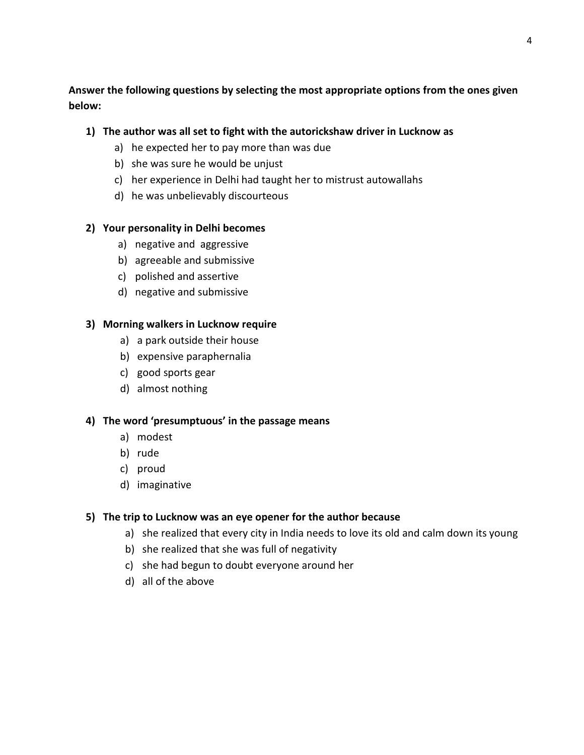# Answer the following questions by selecting the most appropriate options from the ones given below:

# 1) The author was all set to fight with the autorickshaw driver in Lucknow as

- a) he expected her to pay more than was due
- b) she was sure he would be unjust
- c) her experience in Delhi had taught her to mistrust autowallahs
- d) he was unbelievably discourteous

# 2) Your personality in Delhi becomes

- a) negative and aggressive
- b) agreeable and submissive
- c) polished and assertive
- d) negative and submissive

# 3) Morning walkers in Lucknow require

- a) a park outside their house
- b) expensive paraphernalia
- c) good sports gear
- d) almost nothing

# 4) The word 'presumptuous' in the passage means

- a) modest
- b) rude
- c) proud
- d) imaginative

# 5) The trip to Lucknow was an eye opener for the author because

- a) she realized that every city in India needs to love its old and calm down its young
- b) she realized that she was full of negativity
- c) she had begun to doubt everyone around her
- d) all of the above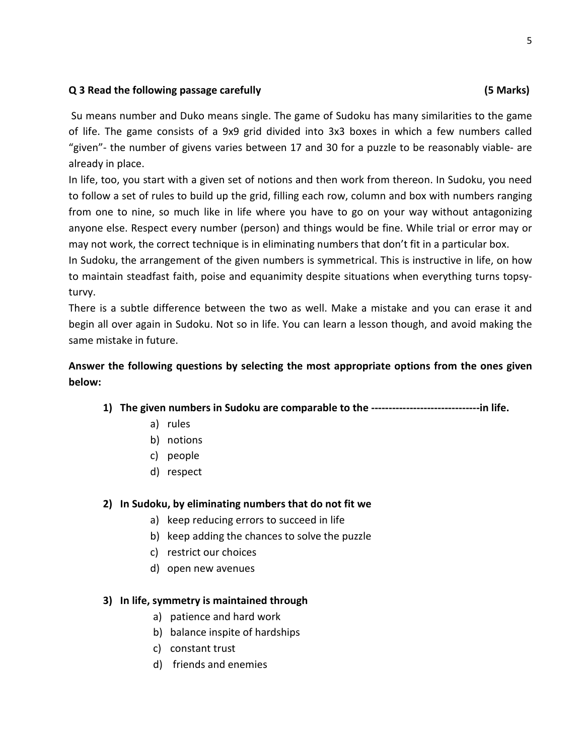## Q 3 Read the following passage carefully (5 Marks)

 Su means number and Duko means single. The game of Sudoku has many similarities to the game of life. The game consists of a 9x9 grid divided into 3x3 boxes in which a few numbers called "given"- the number of givens varies between 17 and 30 for a puzzle to be reasonably viable- are already in place.

In life, too, you start with a given set of notions and then work from thereon. In Sudoku, you need to follow a set of rules to build up the grid, filling each row, column and box with numbers ranging from one to nine, so much like in life where you have to go on your way without antagonizing anyone else. Respect every number (person) and things would be fine. While trial or error may or may not work, the correct technique is in eliminating numbers that don't fit in a particular box.

In Sudoku, the arrangement of the given numbers is symmetrical. This is instructive in life, on how to maintain steadfast faith, poise and equanimity despite situations when everything turns topsyturvy.

There is a subtle difference between the two as well. Make a mistake and you can erase it and begin all over again in Sudoku. Not so in life. You can learn a lesson though, and avoid making the same mistake in future.

# Answer the following questions by selecting the most appropriate options from the ones given below:

- 1) The given numbers in Sudoku are comparable to the -------------------------------in life.
	- a) rules
	- b) notions
	- c) people
	- d) respect

# 2) In Sudoku, by eliminating numbers that do not fit we

- a) keep reducing errors to succeed in life
- b) keep adding the chances to solve the puzzle
- c) restrict our choices
- d) open new avenues

## 3) In life, symmetry is maintained through

- a) patience and hard work
- b) balance inspite of hardships
- c) constant trust
- d) friends and enemies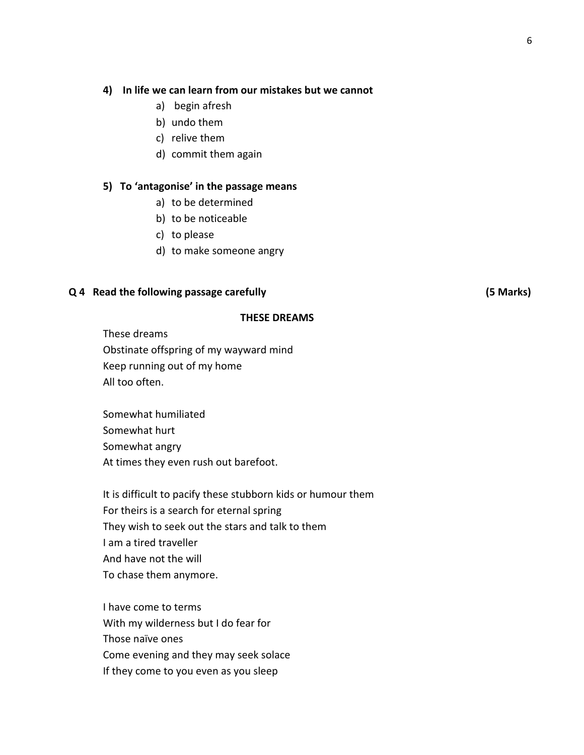### 4) In life we can learn from our mistakes but we cannot

- a) begin afresh
- b) undo them
- c) relive them
- d) commit them again

#### 5) To 'antagonise' in the passage means

- a) to be determined
- b) to be noticeable
- c) to please
- d) to make someone angry

#### Q 4 Read the following passage carefully (5 Marks)

#### THESE DREAMS

These dreams Obstinate offspring of my wayward mind Keep running out of my home All too often.

Somewhat humiliated Somewhat hurt Somewhat angry At times they even rush out barefoot.

It is difficult to pacify these stubborn kids or humour them For theirs is a search for eternal spring They wish to seek out the stars and talk to them I am a tired traveller And have not the will To chase them anymore.

I have come to terms With my wilderness but I do fear for Those naïve ones Come evening and they may seek solace If they come to you even as you sleep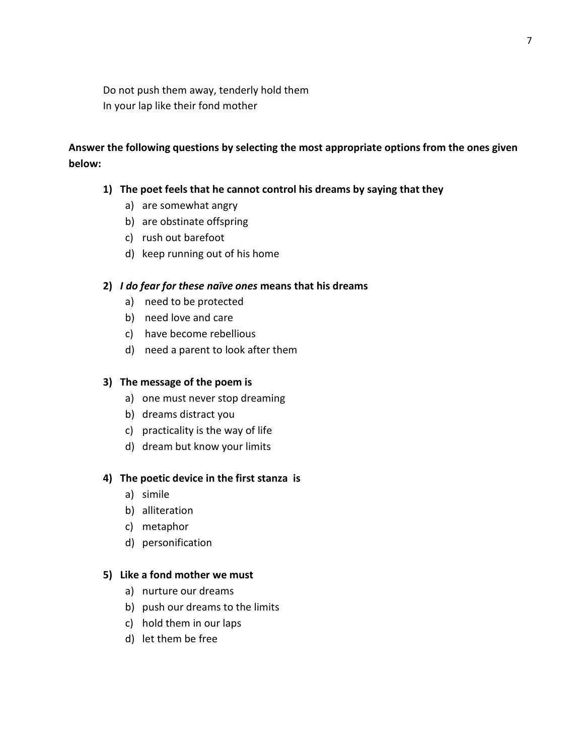Do not push them away, tenderly hold them In your lap like their fond mother

# Answer the following questions by selecting the most appropriate options from the ones given below:

## 1) The poet feels that he cannot control his dreams by saying that they

- a) are somewhat angry
- b) are obstinate offspring
- c) rush out barefoot
- d) keep running out of his home

### 2) I do fear for these naïve ones means that his dreams

- a) need to be protected
- b) need love and care
- c) have become rebellious
- d) need a parent to look after them

## 3) The message of the poem is

- a) one must never stop dreaming
- b) dreams distract you
- c) practicality is the way of life
- d) dream but know your limits

### 4) The poetic device in the first stanza is

- a) simile
- b) alliteration
- c) metaphor
- d) personification

### 5) Like a fond mother we must

- a) nurture our dreams
- b) push our dreams to the limits
- c) hold them in our laps
- d) let them be free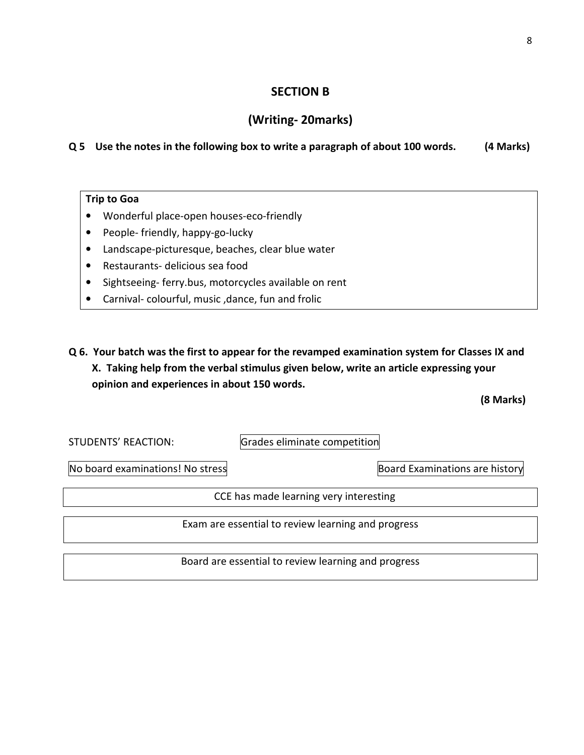## SECTION B

# (Writing- 20marks)

# Q 5 Use the notes in the following box to write a paragraph of about 100 words. (4 Marks)

## Trip to Goa

- Wonderful place-open houses-eco-friendly
- People- friendly, happy-go-lucky
- Landscape-picturesque, beaches, clear blue water
- Restaurants- delicious sea food
- Sightseeing- ferry.bus, motorcycles available on rent
- Carnival- colourful, music ,dance, fun and frolic
- Q 6. Your batch was the first to appear for the revamped examination system for Classes IX and X. Taking help from the verbal stimulus given below, write an article expressing your opinion and experiences in about 150 words.

(8 Marks)

STUDENTS' REACTION: Grades eliminate competition

No board examinations! No stress Board Examinations are history

CCE has made learning very interesting

Exam are essential to review learning and progress

Board are essential to review learning and progress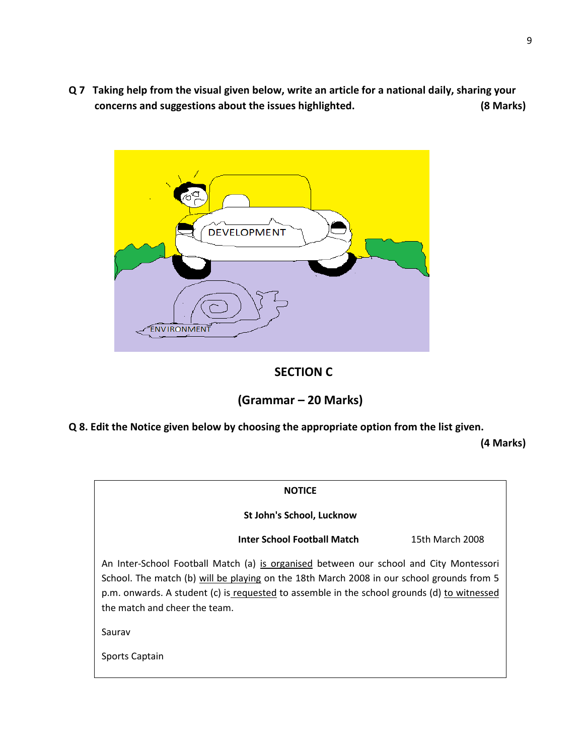Q 7 Taking help from the visual given below, write an article for a national daily, sharing your concerns and suggestions about the issues highlighted. (8 Marks)



# SECTION C

# (Grammar – 20 Marks)

Q 8. Edit the Notice given below by choosing the appropriate option from the list given.

(4 Marks)

| <b>NOTICE</b>                                                                                                                                                                                                                                                                                                       |                 |  |  |  |
|---------------------------------------------------------------------------------------------------------------------------------------------------------------------------------------------------------------------------------------------------------------------------------------------------------------------|-----------------|--|--|--|
| St John's School, Lucknow                                                                                                                                                                                                                                                                                           |                 |  |  |  |
| Inter School Football Match                                                                                                                                                                                                                                                                                         | 15th March 2008 |  |  |  |
| An Inter-School Football Match (a) is organised between our school and City Montessori<br>School. The match (b) will be playing on the 18th March 2008 in our school grounds from 5<br>p.m. onwards. A student (c) is requested to assemble in the school grounds (d) to witnessed<br>the match and cheer the team. |                 |  |  |  |
| Saurav                                                                                                                                                                                                                                                                                                              |                 |  |  |  |
| Sports Captain                                                                                                                                                                                                                                                                                                      |                 |  |  |  |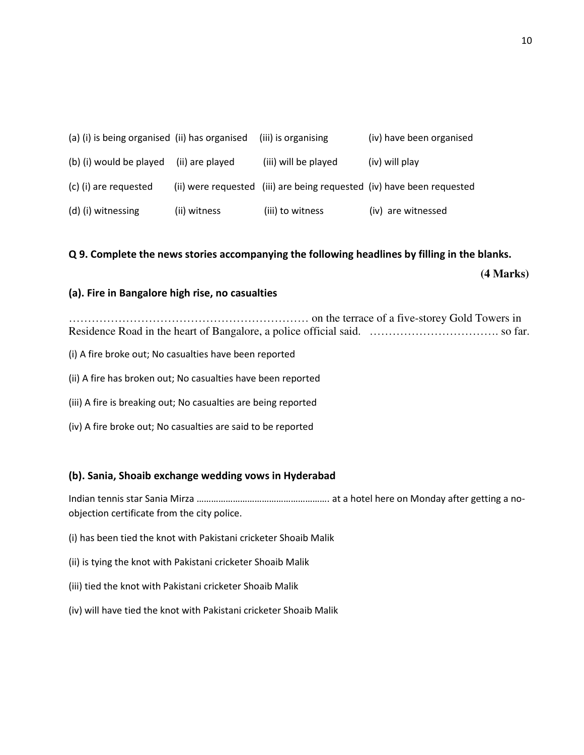| (a) (i) is being organised (ii) has organised |                 | (iii) is organising  | (iv) have been organised                                               |
|-----------------------------------------------|-----------------|----------------------|------------------------------------------------------------------------|
| (b) (i) would be played                       | (ii) are played | (iii) will be played | (iv) will play                                                         |
| (c) (i) are requested                         |                 |                      | (ii) were requested (iii) are being requested (iv) have been requested |
| (d) (i) witnessing                            | (ii) witness    | (iii) to witness     | (iv) are witnessed                                                     |

## Q 9. Complete the news stories accompanying the following headlines by filling in the blanks.

**(4 Marks)** 

## (a). Fire in Bangalore high rise, no casualties

……………………………………………………… on the terrace of a five-storey Gold Towers in Residence Road in the heart of Bangalore, a police official said. ……………………………. so far.

- (i) A fire broke out; No casualties have been reported
- (ii) A fire has broken out; No casualties have been reported
- (iii) A fire is breaking out; No casualties are being reported
- (iv) A fire broke out; No casualties are said to be reported

## (b). Sania, Shoaib exchange wedding vows in Hyderabad

Indian tennis star Sania Mirza ………………………………………………. at a hotel here on Monday after getting a noobjection certificate from the city police.

- (i) has been tied the knot with Pakistani cricketer Shoaib Malik
- (ii) is tying the knot with Pakistani cricketer Shoaib Malik
- (iii) tied the knot with Pakistani cricketer Shoaib Malik
- (iv) will have tied the knot with Pakistani cricketer Shoaib Malik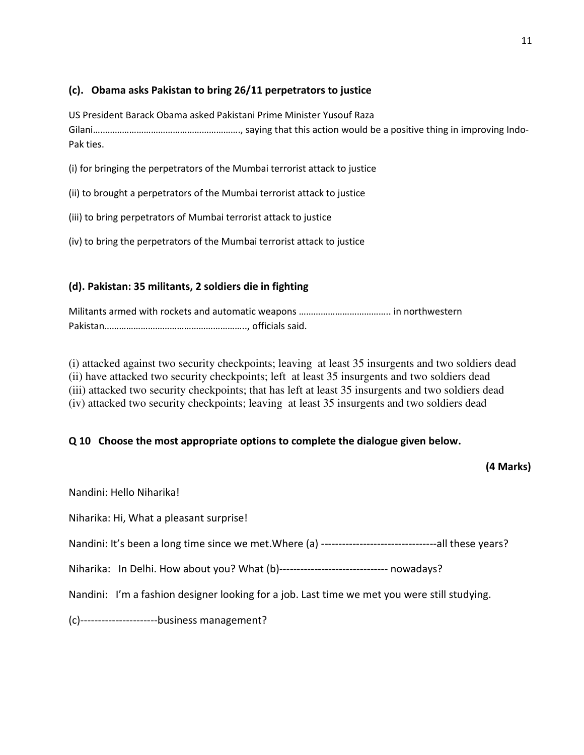# (c). Obama asks Pakistan to bring 26/11 perpetrators to justice

US President Barack Obama asked Pakistani Prime Minister Yusouf Raza Gilani……………………………………………………., saying that this action would be a positive thing in improving Indo-Pak ties.

- (i) for bringing the perpetrators of the Mumbai terrorist attack to justice
- (ii) to brought a perpetrators of the Mumbai terrorist attack to justice
- (iii) to bring perpetrators of Mumbai terrorist attack to justice
- (iv) to bring the perpetrators of the Mumbai terrorist attack to justice

# (d). Pakistan: 35 militants, 2 soldiers die in fighting

Militants armed with rockets and automatic weapons ……………………………….. in northwestern Pakistan………………………………………………….., officials said.

(i) attacked against two security checkpoints; leaving at least 35 insurgents and two soldiers dead (ii) have attacked two security checkpoints; left at least 35 insurgents and two soldiers dead (iii) attacked two security checkpoints; that has left at least 35 insurgents and two soldiers dead (iv) attacked two security checkpoints; leaving at least 35 insurgents and two soldiers dead

# Q 10 Choose the most appropriate options to complete the dialogue given below.

# (4 Marks)

| Nandini: Hello Niharika!                                                                     |  |  |  |  |
|----------------------------------------------------------------------------------------------|--|--|--|--|
| Niharika: Hi, What a pleasant surprise!                                                      |  |  |  |  |
|                                                                                              |  |  |  |  |
| Niharika: In Delhi. How about you? What (b)------------------------------- nowadays?         |  |  |  |  |
| Nandini: I'm a fashion designer looking for a job. Last time we met you were still studying. |  |  |  |  |
| (c)-----------------------business management?                                               |  |  |  |  |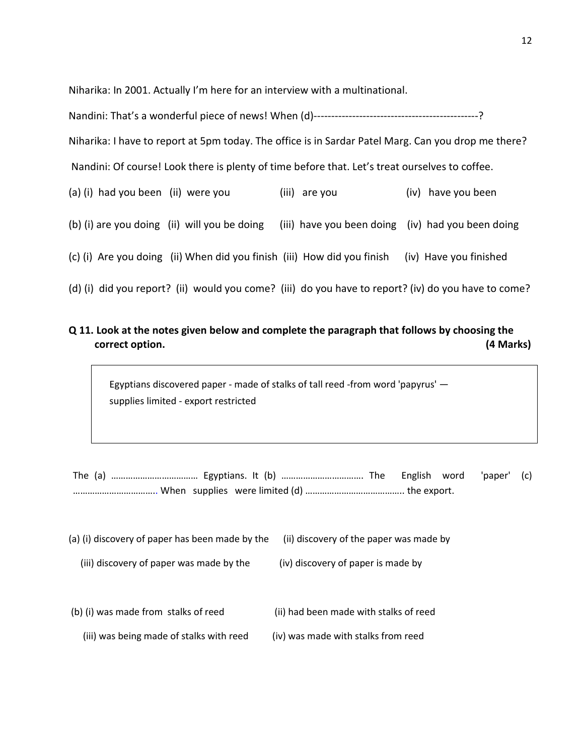Niharika: In 2001. Actually I'm here for an interview with a multinational.

| Niharika: I have to report at 5pm today. The office is in Sardar Patel Marg. Can you drop me there? |                                                   |                        |  |  |  |
|-----------------------------------------------------------------------------------------------------|---------------------------------------------------|------------------------|--|--|--|
| Nandini: Of course! Look there is plenty of time before that. Let's treat ourselves to coffee.      |                                                   |                        |  |  |  |
| (a) (i) had you been (ii) were you                                                                  | (iii) are you                                     | (iv) have you been     |  |  |  |
| (b) (i) are you doing (ii) will you be doing                                                        | (iii) have you been doing (iv) had you been doing |                        |  |  |  |
| (c) (i) Are you doing (ii) When did you finish (iii) How did you finish                             |                                                   | (iv) Have you finished |  |  |  |
| (d) (i) did you report? (ii) would you come? (iii) do you have to report? (iv) do you have to come? |                                                   |                        |  |  |  |

# Q 11. Look at the notes given below and complete the paragraph that follows by choosing the correct option. (4 Marks)

Egyptians discovered paper - made of stalks of tall reed -from word 'papyrus' supplies limited - export restricted

| (a) (i) discovery of paper has been made by the | (ii) discovery of the paper was made by |
|-------------------------------------------------|-----------------------------------------|
| (iii) discovery of paper was made by the        | (iv) discovery of paper is made by      |

- (b) (i) was made from stalks of reed (ii) had been made with stalks of reed
	- (iii) was being made of stalks with reed (iv) was made with stalks from reed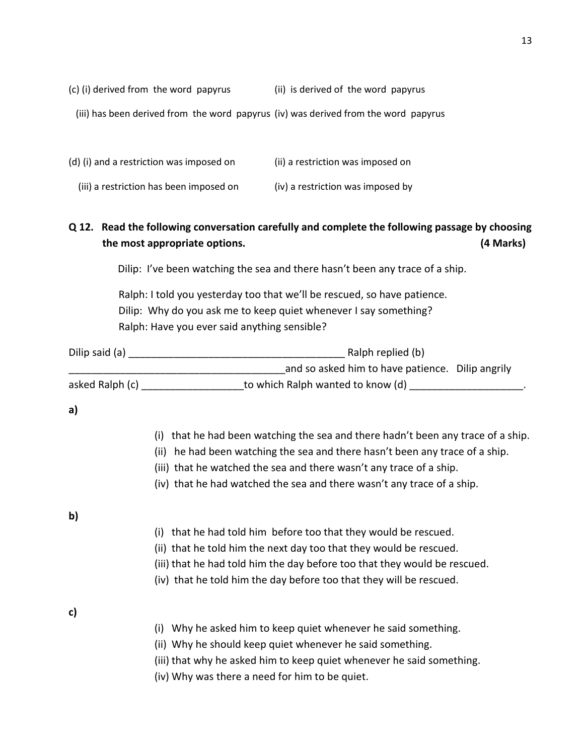- (c) (i) derived from the word papyrus (ii) is derived of the word papyrus
	- (iii) has been derived from the word papyrus (iv) was derived from the word papyrus

| (d) (i) and a restriction was imposed on | (ii) a restriction was imposed on |
|------------------------------------------|-----------------------------------|
| (iii) a restriction has been imposed on  | (iv) a restriction was imposed by |

# Q 12. Read the following conversation carefully and complete the following passage by choosing the most appropriate options. (4 Marks)

Dilip: I've been watching the sea and there hasn't been any trace of a ship.

 Ralph: I told you yesterday too that we'll be rescued, so have patience. Dilip: Why do you ask me to keep quiet whenever I say something? Ralph: Have you ever said anything sensible?

| Dilip said (a)  | Ralph replied (b)                                |
|-----------------|--------------------------------------------------|
|                 | and so asked him to have patience. Dilip angrily |
| asked Ralph (c) | to which Ralph wanted to know (d)                |

# a)

| (i) that he had been watching the sea and there hadn't been any trace of a ship. |
|----------------------------------------------------------------------------------|
| (ii) he had been watching the sea and there hasn't been any trace of a ship.     |

- (iii) that he watched the sea and there wasn't any trace of a ship.
- (iv) that he had watched the sea and there wasn't any trace of a ship.

# b)

- (i) that he had told him before too that they would be rescued.
- (ii) that he told him the next day too that they would be rescued.
- (iii) that he had told him the day before too that they would be rescued.
- (iv) that he told him the day before too that they will be rescued.

# c)

- (i) Why he asked him to keep quiet whenever he said something.
- (ii) Why he should keep quiet whenever he said something.
- (iii) that why he asked him to keep quiet whenever he said something.
- (iv) Why was there a need for him to be quiet.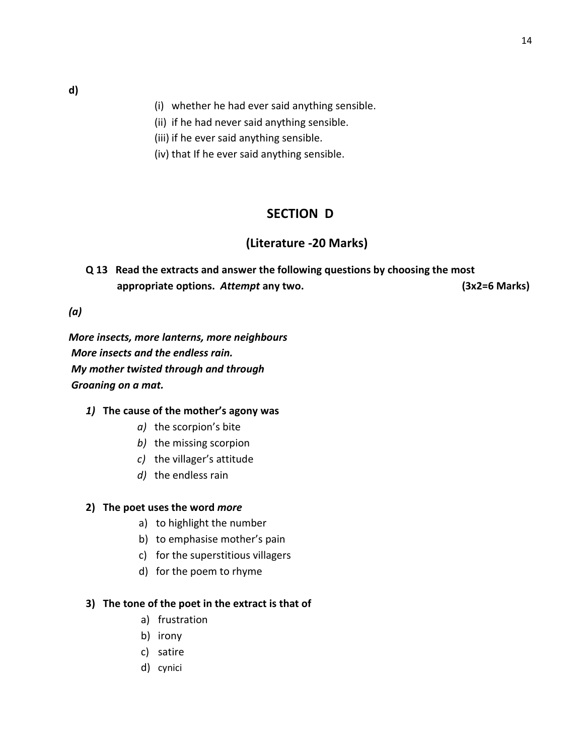- (i) whether he had ever said anything sensible.
- (ii) if he had never said anything sensible.
- (iii) if he ever said anything sensible.
- (iv) that If he ever said anything sensible.

# SECTION D

# (Literature -20 Marks)

Q 13 Read the extracts and answer the following questions by choosing the most appropriate options. Attempt any two. (3x2=6 Marks)

(a)

More insects, more lanterns, more neighbours More insects and the endless rain. My mother twisted through and through Groaning on a mat.

### 1) The cause of the mother's agony was

- a) the scorpion's bite
- b) the missing scorpion
- c) the villager's attitude
- d) the endless rain

### 2) The poet uses the word more

- a) to highlight the number
- b) to emphasise mother's pain
- c) for the superstitious villagers
- d) for the poem to rhyme

## 3) The tone of the poet in the extract is that of

- a) frustration
- b) irony
- c) satire
- d) cynici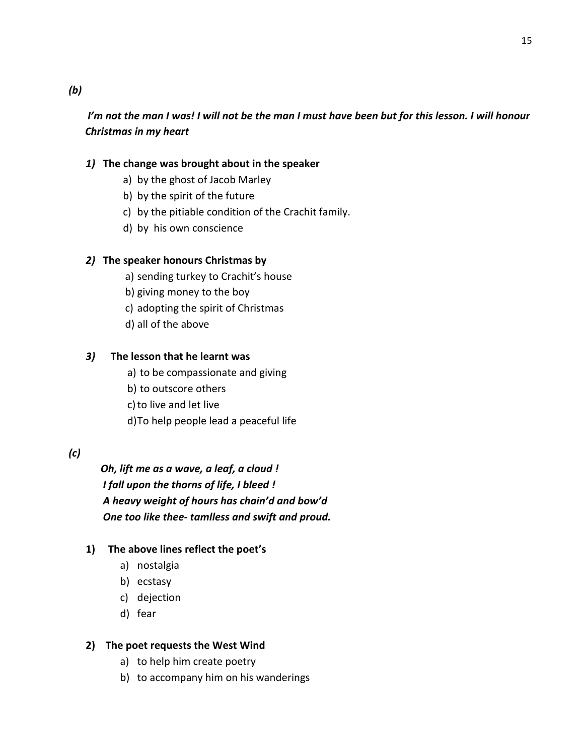# I'm not the man I was! I will not be the man I must have been but for this lesson. I will honour Christmas in my heart

# 1) The change was brought about in the speaker

- a) by the ghost of Jacob Marley
- b) by the spirit of the future
- c) by the pitiable condition of the Crachit family.
- d) by his own conscience

# 2) The speaker honours Christmas by

- a) sending turkey to Crachit's house
- b) giving money to the boy
- c) adopting the spirit of Christmas
- d) all of the above

# 3) The lesson that he learnt was

- a) to be compassionate and giving
- b) to outscore others
- c)to live and let live
- d)To help people lead a peaceful life

# (c)

 Oh, lift me as a wave, a leaf, a cloud ! I fall upon the thorns of life, I bleed ! A heavy weight of hours has chain'd and bow'd One too like thee- tamlless and swift and proud.

# 1) The above lines reflect the poet's

- a) nostalgia
- b) ecstasy
- c) dejection
- d) fear

# 2) The poet requests the West Wind

- a) to help him create poetry
- b) to accompany him on his wanderings

# (b)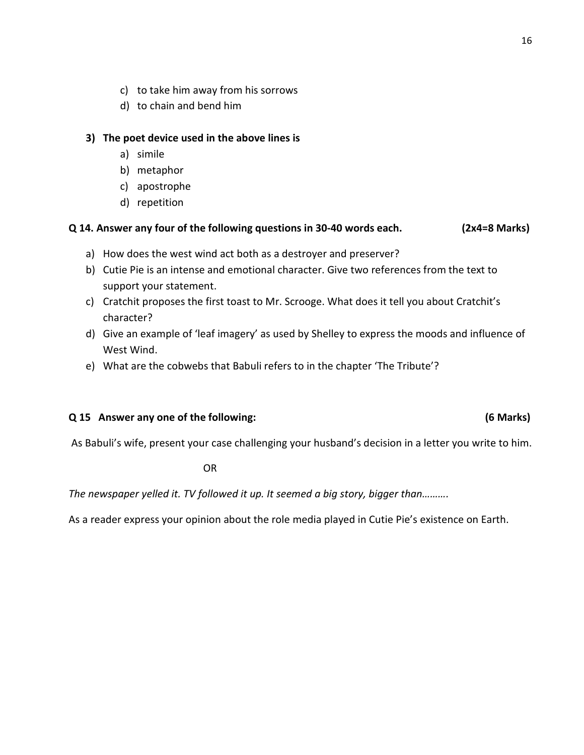- c) to take him away from his sorrows
- d) to chain and bend him

## 3) The poet device used in the above lines is

- a) simile
- b) metaphor
- c) apostrophe
- d) repetition

## Q 14. Answer any four of the following questions in 30-40 words each. (2x4=8 Marks)

- a) How does the west wind act both as a destroyer and preserver?
- b) Cutie Pie is an intense and emotional character. Give two references from the text to support your statement.
- c) Cratchit proposes the first toast to Mr. Scrooge. What does it tell you about Cratchit's character?
- d) Give an example of 'leaf imagery' as used by Shelley to express the moods and influence of West Wind.
- e) What are the cobwebs that Babuli refers to in the chapter 'The Tribute'?

## Q 15 Answer any one of the following: (6 Marks)

As Babuli's wife, present your case challenging your husband's decision in a letter you write to him.

**OR** STREET STREET AND THE STREET STREET AND THE STREET STREET STREET AND THE STREET STREET AND THE STREET AND T

The newspaper yelled it. TV followed it up. It seemed a big story, bigger than.........

As a reader express your opinion about the role media played in Cutie Pie's existence on Earth.